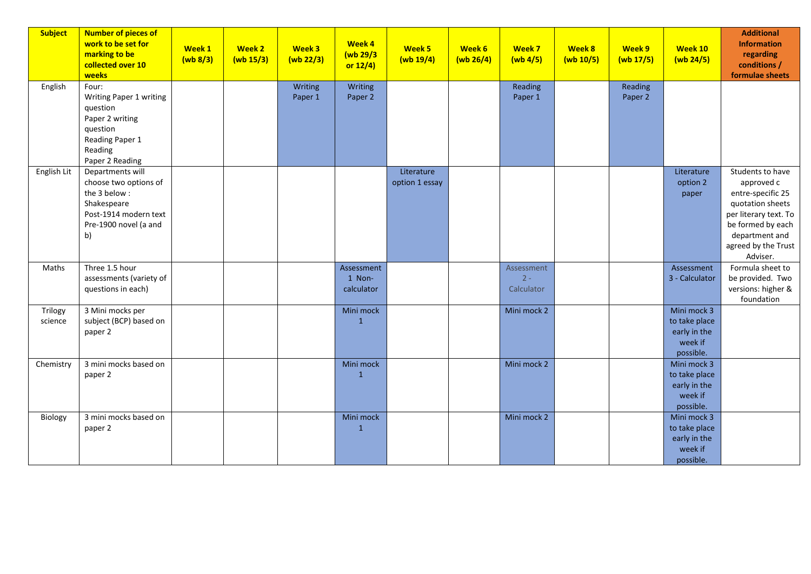| <b>Subject</b>     | <b>Number of pieces of</b><br>work to be set for<br>marking to be<br>collected over 10<br>weeks                                  | Week 1<br>(wb 8/3) | Week 2<br>(wb 15/3) | Week 3<br>(wb 22/3) | Week 4<br>(wb 29/3<br>or $12/4$    | Week 5<br>(wb 19/4)          | Week 6<br>(wb 26/4) | Week 7<br>$(wb)$ 4/5)             | Week 8<br>(wb 10/5) | Week 9<br>(wb 17/5) | Week 10<br>(wb 24/5)                                                 | <b>Additional</b><br><b>Information</b><br>regarding<br>conditions /<br>formulae sheets                                                                                    |
|--------------------|----------------------------------------------------------------------------------------------------------------------------------|--------------------|---------------------|---------------------|------------------------------------|------------------------------|---------------------|-----------------------------------|---------------------|---------------------|----------------------------------------------------------------------|----------------------------------------------------------------------------------------------------------------------------------------------------------------------------|
| English            | Four:<br>Writing Paper 1 writing<br>question<br>Paper 2 writing<br>question<br>Reading Paper 1<br>Reading<br>Paper 2 Reading     |                    |                     | Writing<br>Paper 1  | Writing<br>Paper 2                 |                              |                     | Reading<br>Paper 1                |                     | Reading<br>Paper 2  |                                                                      |                                                                                                                                                                            |
| English Lit        | Departments will<br>choose two options of<br>the 3 below:<br>Shakespeare<br>Post-1914 modern text<br>Pre-1900 novel (a and<br>b) |                    |                     |                     |                                    | Literature<br>option 1 essay |                     |                                   |                     |                     | Literature<br>option 2<br>paper                                      | Students to have<br>approved c<br>entre-specific 25<br>quotation sheets<br>per literary text. To<br>be formed by each<br>department and<br>agreed by the Trust<br>Adviser. |
| Maths              | Three 1.5 hour<br>assessments (variety of<br>questions in each)                                                                  |                    |                     |                     | Assessment<br>1 Non-<br>calculator |                              |                     | Assessment<br>$2 -$<br>Calculator |                     |                     | Assessment<br>3 - Calculator                                         | Formula sheet to<br>be provided. Two<br>versions: higher &<br>foundation                                                                                                   |
| Trilogy<br>science | 3 Mini mocks per<br>subject (BCP) based on<br>paper 2                                                                            |                    |                     |                     | Mini mock<br>$\mathbf{1}$          |                              |                     | Mini mock 2                       |                     |                     | Mini mock 3<br>to take place<br>early in the<br>week if<br>possible. |                                                                                                                                                                            |
| Chemistry          | 3 mini mocks based on<br>paper 2                                                                                                 |                    |                     |                     | Mini mock<br>$\mathbf{1}$          |                              |                     | Mini mock 2                       |                     |                     | Mini mock 3<br>to take place<br>early in the<br>week if<br>possible. |                                                                                                                                                                            |
| Biology            | 3 mini mocks based on<br>paper 2                                                                                                 |                    |                     |                     | Mini mock<br>$\mathbf{1}$          |                              |                     | Mini mock 2                       |                     |                     | Mini mock 3<br>to take place<br>early in the<br>week if<br>possible. |                                                                                                                                                                            |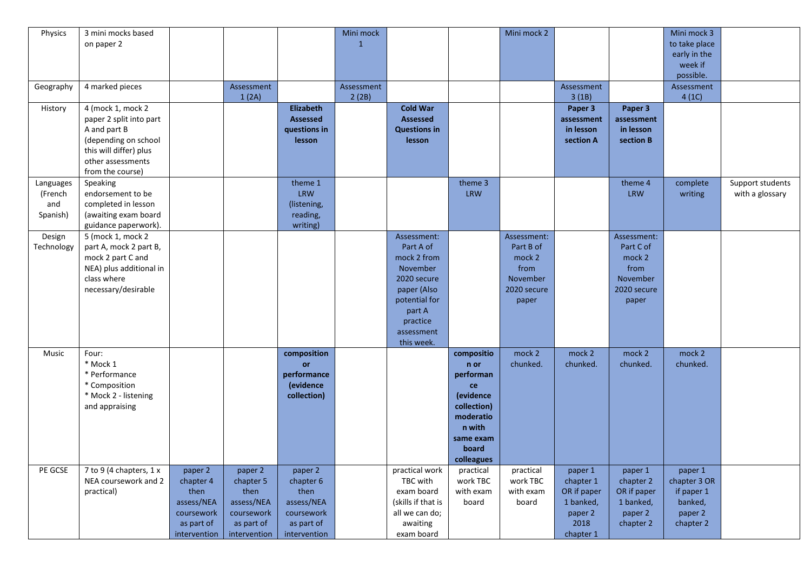| Physics    | 3 mini mocks based      |              |              |                 | Mini mock    |                     |             | Mini mock 2 |             |             | Mini mock 3   |                  |
|------------|-------------------------|--------------|--------------|-----------------|--------------|---------------------|-------------|-------------|-------------|-------------|---------------|------------------|
|            | on paper 2              |              |              |                 | $\mathbf{1}$ |                     |             |             |             |             | to take place |                  |
|            |                         |              |              |                 |              |                     |             |             |             |             | early in the  |                  |
|            |                         |              |              |                 |              |                     |             |             |             |             | week if       |                  |
|            |                         |              |              |                 |              |                     |             |             |             |             | possible.     |                  |
| Geography  | 4 marked pieces         |              | Assessment   |                 | Assessment   |                     |             |             | Assessment  |             | Assessment    |                  |
|            |                         |              | 1(2A)        |                 | 2(2B)        |                     |             |             | 3(1B)       |             | 4(1C)         |                  |
| History    | 4 (mock 1, mock 2       |              |              | Elizabeth       |              | <b>Cold War</b>     |             |             | Paper 3     | Paper 3     |               |                  |
|            | paper 2 split into part |              |              | <b>Assessed</b> |              | Assessed            |             |             | assessment  | assessment  |               |                  |
|            | A and part B            |              |              | questions in    |              | <b>Questions in</b> |             |             | in lesson   | in lesson   |               |                  |
|            | (depending on school    |              |              | lesson          |              | lesson              |             |             | section A   | section B   |               |                  |
|            | this will differ) plus  |              |              |                 |              |                     |             |             |             |             |               |                  |
|            |                         |              |              |                 |              |                     |             |             |             |             |               |                  |
|            | other assessments       |              |              |                 |              |                     |             |             |             |             |               |                  |
|            | from the course)        |              |              |                 |              |                     |             |             |             |             |               |                  |
| Languages  | Speaking                |              |              | theme 1         |              |                     | theme 3     |             |             | theme 4     | complete      | Support students |
| (French    | endorsement to be       |              |              | <b>LRW</b>      |              |                     | <b>LRW</b>  |             |             | <b>LRW</b>  | writing       | with a glossary  |
| and        | completed in lesson     |              |              | (listening,     |              |                     |             |             |             |             |               |                  |
| Spanish)   | (awaiting exam board    |              |              | reading,        |              |                     |             |             |             |             |               |                  |
|            | guidance paperwork).    |              |              | writing)        |              |                     |             |             |             |             |               |                  |
| Design     | 5 (mock 1, mock 2       |              |              |                 |              | Assessment:         |             | Assessment: |             | Assessment: |               |                  |
| Technology | part A, mock 2 part B,  |              |              |                 |              | Part A of           |             | Part B of   |             | Part C of   |               |                  |
|            | mock 2 part C and       |              |              |                 |              | mock 2 from         |             | mock 2      |             | mock 2      |               |                  |
|            | NEA) plus additional in |              |              |                 |              | November            |             | from        |             | from        |               |                  |
|            | class where             |              |              |                 |              | 2020 secure         |             | November    |             | November    |               |                  |
|            | necessary/desirable     |              |              |                 |              | paper (Also         |             | 2020 secure |             | 2020 secure |               |                  |
|            |                         |              |              |                 |              | potential for       |             | paper       |             | paper       |               |                  |
|            |                         |              |              |                 |              | part A              |             |             |             |             |               |                  |
|            |                         |              |              |                 |              | practice            |             |             |             |             |               |                  |
|            |                         |              |              |                 |              | assessment          |             |             |             |             |               |                  |
|            |                         |              |              |                 |              | this week.          |             |             |             |             |               |                  |
| Music      | Four:                   |              |              | composition     |              |                     | compositio  | mock 2      | mock 2      | mock 2      | mock 2        |                  |
|            | * Mock 1                |              |              | or              |              |                     | n or        | chunked.    | chunked.    | chunked.    | chunked.      |                  |
|            | * Performance           |              |              | performance     |              |                     | performan   |             |             |             |               |                  |
|            | * Composition           |              |              | (evidence       |              |                     | ce          |             |             |             |               |                  |
|            | * Mock 2 - listening    |              |              | collection)     |              |                     | (evidence   |             |             |             |               |                  |
|            | and appraising          |              |              |                 |              |                     | collection) |             |             |             |               |                  |
|            |                         |              |              |                 |              |                     | moderatio   |             |             |             |               |                  |
|            |                         |              |              |                 |              |                     | n with      |             |             |             |               |                  |
|            |                         |              |              |                 |              |                     | same exam   |             |             |             |               |                  |
|            |                         |              |              |                 |              |                     |             |             |             |             |               |                  |
|            |                         |              |              |                 |              |                     | board       |             |             |             |               |                  |
|            |                         |              |              |                 |              |                     | colleagues  |             |             |             |               |                  |
| PE GCSE    | 7 to 9 (4 chapters, 1 x | paper 2      | paper 2      | paper 2         |              | practical work      | practical   | practical   | paper 1     | paper 1     | paper 1       |                  |
|            | NEA coursework and 2    | chapter 4    | chapter 5    | chapter 6       |              | TBC with            | work TBC    | work TBC    | chapter 1   | chapter 2   | chapter 3 OR  |                  |
|            | practical)              | then         | then         | then            |              | exam board          | with exam   | with exam   | OR if paper | OR if paper | if paper 1    |                  |
|            |                         | assess/NEA   | assess/NEA   | assess/NEA      |              | (skills if that is  | board       | board       | 1 banked,   | 1 banked,   | banked,       |                  |
|            |                         | coursework   | coursework   | coursework      |              | all we can do;      |             |             | paper 2     | paper 2     | paper 2       |                  |
|            |                         | as part of   | as part of   | as part of      |              | awaiting            |             |             | 2018        | chapter 2   | chapter 2     |                  |
|            |                         | intervention | intervention | intervention    |              | exam board          |             |             | chapter 1   |             |               |                  |